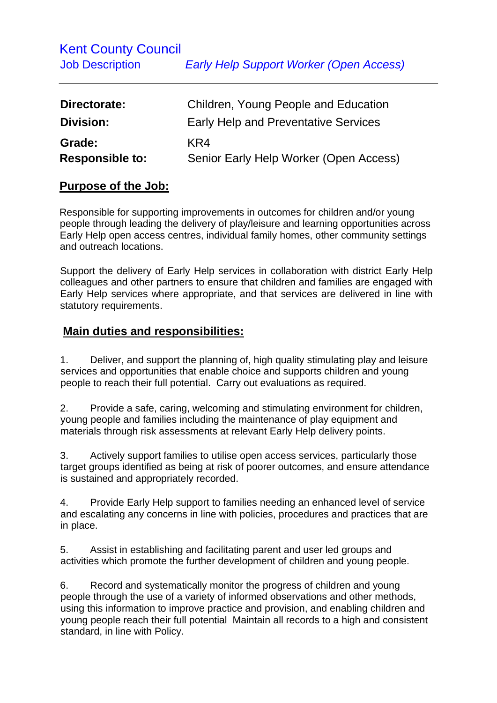| Directorate:                     | Children, Young People and Education          |
|----------------------------------|-----------------------------------------------|
| Division:                        | <b>Early Help and Preventative Services</b>   |
| Grade:<br><b>Responsible to:</b> | KR4<br>Senior Early Help Worker (Open Access) |

## **Purpose of the Job:**

Responsible for supporting improvements in outcomes for children and/or young people through leading the delivery of play/leisure and learning opportunities across Early Help open access centres, individual family homes, other community settings and outreach locations.

Support the delivery of Early Help services in collaboration with district Early Help colleagues and other partners to ensure that children and families are engaged with Early Help services where appropriate, and that services are delivered in line with statutory requirements.

## **Main duties and responsibilities:**

1. Deliver, and support the planning of, high quality stimulating play and leisure services and opportunities that enable choice and supports children and young people to reach their full potential. Carry out evaluations as required.

2. Provide a safe, caring, welcoming and stimulating environment for children, young people and families including the maintenance of play equipment and materials through risk assessments at relevant Early Help delivery points.

3. Actively support families to utilise open access services, particularly those target groups identified as being at risk of poorer outcomes, and ensure attendance is sustained and appropriately recorded.

4. Provide Early Help support to families needing an enhanced level of service and escalating any concerns in line with policies, procedures and practices that are in place.

5. Assist in establishing and facilitating parent and user led groups and activities which promote the further development of children and young people.

6. Record and systematically monitor the progress of children and young people through the use of a variety of informed observations and other methods, using this information to improve practice and provision, and enabling children and young people reach their full potential Maintain all records to a high and consistent standard, in line with Policy.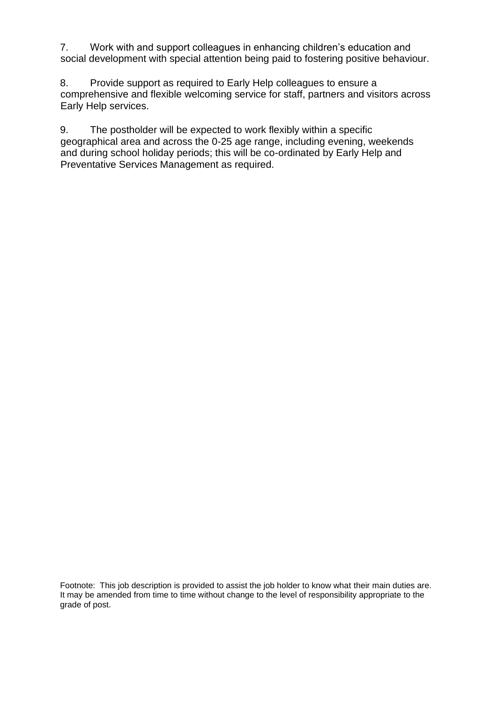7. Work with and support colleagues in enhancing children's education and social development with special attention being paid to fostering positive behaviour.

8. Provide support as required to Early Help colleagues to ensure a comprehensive and flexible welcoming service for staff, partners and visitors across Early Help services.

9. The postholder will be expected to work flexibly within a specific geographical area and across the 0-25 age range, including evening, weekends and during school holiday periods; this will be co-ordinated by Early Help and Preventative Services Management as required.

Footnote: This job description is provided to assist the job holder to know what their main duties are. It may be amended from time to time without change to the level of responsibility appropriate to the grade of post.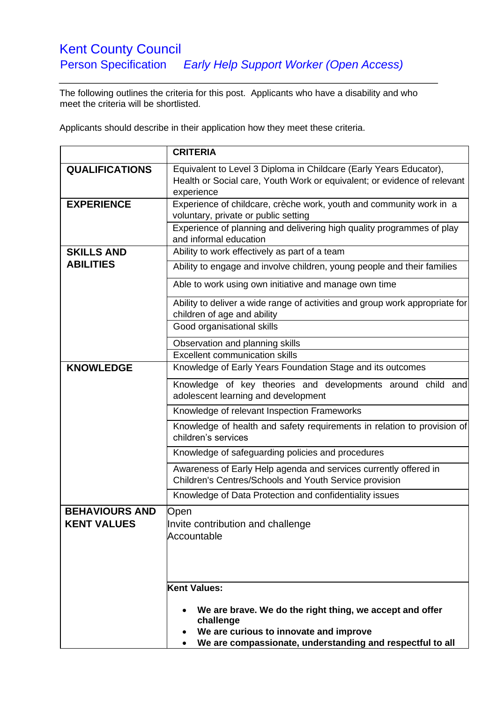## Kent County Council Person Specification *Early Help Support Worker (Open Access)*

The following outlines the criteria for this post. Applicants who have a disability and who meet the criteria will be shortlisted.

Applicants should describe in their application how they meet these criteria.

|                                             | <b>CRITERIA</b>                                                                                                                                              |
|---------------------------------------------|--------------------------------------------------------------------------------------------------------------------------------------------------------------|
| <b>QUALIFICATIONS</b>                       | Equivalent to Level 3 Diploma in Childcare (Early Years Educator),<br>Health or Social care, Youth Work or equivalent; or evidence of relevant<br>experience |
| <b>EXPERIENCE</b>                           | Experience of childcare, crèche work, youth and community work in a<br>voluntary, private or public setting                                                  |
|                                             | Experience of planning and delivering high quality programmes of play<br>and informal education                                                              |
| <b>SKILLS AND</b>                           | Ability to work effectively as part of a team                                                                                                                |
| <b>ABILITIES</b>                            | Ability to engage and involve children, young people and their families                                                                                      |
|                                             | Able to work using own initiative and manage own time                                                                                                        |
|                                             | Ability to deliver a wide range of activities and group work appropriate for<br>children of age and ability<br>Good organisational skills                    |
|                                             |                                                                                                                                                              |
|                                             | Observation and planning skills<br><b>Excellent communication skills</b>                                                                                     |
| <b>KNOWLEDGE</b>                            | Knowledge of Early Years Foundation Stage and its outcomes                                                                                                   |
|                                             |                                                                                                                                                              |
|                                             | Knowledge of key theories and developments around child and<br>adolescent learning and development                                                           |
|                                             | Knowledge of relevant Inspection Frameworks                                                                                                                  |
|                                             | Knowledge of health and safety requirements in relation to provision of<br>children's services                                                               |
|                                             | Knowledge of safeguarding policies and procedures                                                                                                            |
|                                             | Awareness of Early Help agenda and services currently offered in<br>Children's Centres/Schools and Youth Service provision                                   |
|                                             | Knowledge of Data Protection and confidentiality issues                                                                                                      |
| <b>BEHAVIOURS AND</b><br><b>KENT VALUES</b> | Open<br>Invite contribution and challenge<br>Accountable                                                                                                     |
|                                             | Kent Values:                                                                                                                                                 |
|                                             |                                                                                                                                                              |
|                                             | We are brave. We do the right thing, we accept and offer<br>challenge                                                                                        |
|                                             | We are curious to innovate and improve                                                                                                                       |
|                                             | We are compassionate, understanding and respectful to all<br>٠                                                                                               |